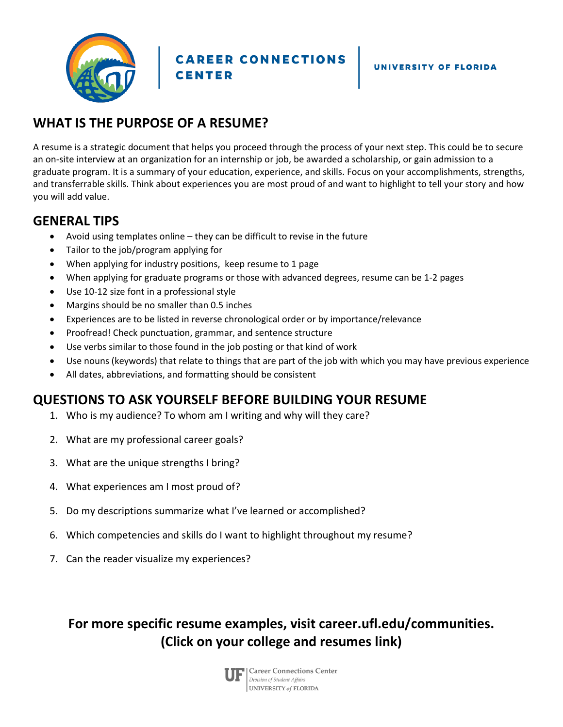

**CAREER CONNECTIONS CENTER** 

# **WHAT IS THE PURPOSE OF A RESUME?**

A resume is a strategic document that helps you proceed through the process of your next step. This could be to secure an on-site interview at an organization for an internship or job, be awarded a scholarship, or gain admission to a graduate program. It is a summary of your education, experience, and skills. Focus on your accomplishments, strengths, and transferrable skills. Think about experiences you are most proud of and want to highlight to tell your story and how you will add value.

## **GENERAL TIPS**

- Avoid using templates online they can be difficult to revise in the future
- Tailor to the job/program applying for
- When applying for industry positions, keep resume to 1 page
- When applying for graduate programs or those with advanced degrees, resume can be 1-2 pages
- Use 10-12 size font in a professional style
- Margins should be no smaller than 0.5 inches
- Experiences are to be listed in reverse chronological order or by importance/relevance
- Proofread! Check punctuation, grammar, and sentence structure
- Use verbs similar to those found in the job posting or that kind of work
- Use nouns (keywords) that relate to things that are part of the job with which you may have previous experience
- All dates, abbreviations, and formatting should be consistent

## **QUESTIONS TO ASK YOURSELF BEFORE BUILDING YOUR RESUME**

- 1. Who is my audience? To whom am I writing and why will they care?
- 2. What are my professional career goals?
- 3. What are the unique strengths I bring?
- 4. What experiences am I most proud of?
- 5. Do my descriptions summarize what I've learned or accomplished?
- 6. Which competencies and skills do I want to highlight throughout my resume?
- 7. Can the reader visualize my experiences?

**For more specific resume examples, visit career.ufl.edu/communities. (Click on your college and resumes link)**